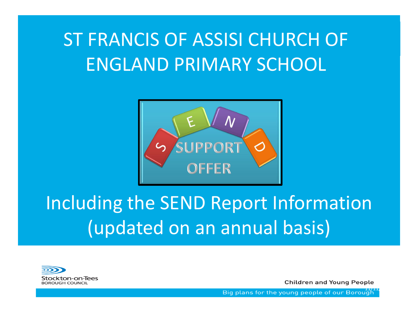# ST FRANCIS OF ASSISI CHURCH OF ENGLAND PRIMARY SCHOOL



# Including the SEND Report Information (updated on an annual basis)



**Children and Young People** 

Big plans for the young people of our Borough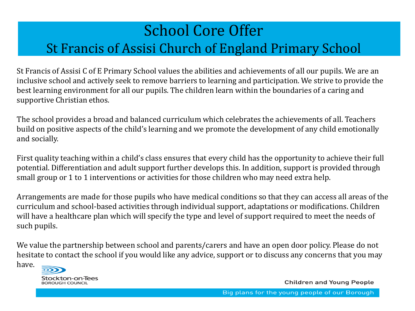## School Core Offer St Francis of Assisi Church of England Primary School

St Francis of Assisi C of E Primary School values the abilities and achievements of all our pupils. We are an inclusive school and actively seek to remove barriers to learning and participation. We strive to provide the best learning environment for all our pupils. The children learn within the boundaries of a caring and supportive Christian ethos.

The school provides a broad and balanced curriculum which celebrates the achievements of all. Teachers build on positive aspects of the child's learning and we promote the development of any child emotionally and socially.

First quality teaching within a child's class ensures that every child has the opportunity to achieve their full potential. Differentiation and adult support further develops this. In addition, support is provided through small group or 1 to 1 interventions or activities for those children who may need extra help.

Arrangements are made for those pupils who have medical conditions so that they can access all areas of the curriculum and school-based activities through individual support, adaptations or modifications. Children will have a healthcare plan which will specify the type and level of support required to meet the needs of such pupils.

We value the partnership between school and parents/carers and have an open door policy. Please do not hesitate to contact the school if you would like any advice, support or to discuss any concerns that you may have.



**Children and Young People**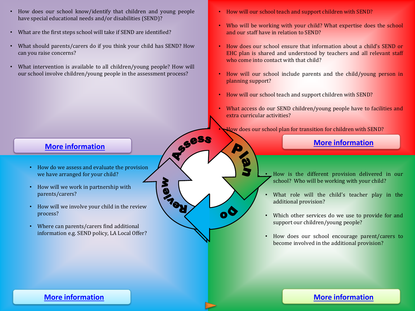- <span id="page-2-0"></span>• How does our school know/identify that children and young people have special educational needs and/or disabilities (SEND)?
- What are the first steps school will take if SEND are identified?
- What should parents/carers do if you think your child has SEND? How can you raise concerns?
- What intervention is available to all children/young people? How will our school involve children/young people in the assessment process?
- How will our school teach and support children with SEND?
- Who will be working with your child? What expertise does the school and our staff have in relation to SEND?
- How does our school ensure that information about a child's SEND or EHC plan is shared and understood by teachers and all relevant staff who come into contact with that child?
- How will our school include parents and the child/young person in planning support?
- How will our school teach and support children with SEND?

 $\lambda$ 

D

**PACK** 

• What access do our SEND children/young people have to facilities and extra curricular activities?

How does our school plan for transition for children with SEND? [More information](#page-4-0)

- How is the different provision delivered in our school? Who will be working with your child?
- What role will the child's teacher play in the additional provision?
- Which other services do we use to provide for and support our children/young people?
- How does our school encourage parent/carers to become involved in the additional provision?

- How do we assess and evaluate the provision we have arranged for your child?
- How will we work in partnership with parents/carers?
- How will we involve your child in the review process?
- Where can parents/carers find additional information e.g. SEND policy, LA Local Offer?

### **[More information](#page-7-0) [More information](#page-5-0)**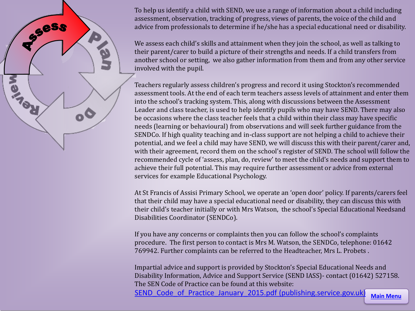<span id="page-3-0"></span>SSSS **PACK**  $\mathbf{o}^{\mathbf{O}}$ 

To help us identify a child with SEND, we use a range of information about a child including assessment, observation, tracking of progress, views of parents, the voice of the child and advice from professionals to determine if he/she has a special educational need or disability.

We assess each child's skills and attainment when they join the school, as well as talking to their parent/carer to build a picture of their strengths and needs. If a child transfers from another school or setting, we also gather information from them and from any other service involved with the pupil.

Teachers regularly assess children's progress and record it using Stockton's recommended assessment tools. At the end of each term teachers assess levels of attainment and enter them into the school's tracking system. This, along with discussions between the Assessment Leader and class teacher, is used to help identify pupils who may have SEND. There may also be occasions where the class teacher feels that a child within their class may have specific needs (learning or behavioural) from observations and will seek further guidance from the SENDCo. If high quality teaching and in-class support are not helping a child to achieve their potential, and we feel a child may have SEND, we will discuss this with their parent/carer and, with their agreement, record them on the school's register of SEND. The school will follow the recommended cycle of 'assess, plan, do, review' to meet the child's needs and support them to achieve their full potential. This may require further assessment or advice from external services for example Educational Psychology.

At St Francis of Assisi Primary School, we operate an 'open door' policy. If parents/carers feel that their child may have a special educational need or disability, they can discuss this with their child's teacher initially or with Mrs Watson, the school's Special Educational Needsand Disabilities Coordinator (SENDCo).

If you have any concerns or complaints then you can follow the school's complaints procedure. The first person to contact is Mrs M. Watson, the SENDCo, telephone: 01642 769942. Further complaints can be referred to the Headteacher, Mrs L. Probets .

Impartial advice and support is provided by Stockton's Special Educational Needs and Disability Information, Advice and Support Service (SEND IASS)- contact (01642) 527158. The SEN Code of Practice can be found at this website:

**[Main Menu](#page-3-0)**

SEND Code of Practice January 2015.pdf (publishing.service.gov.uk)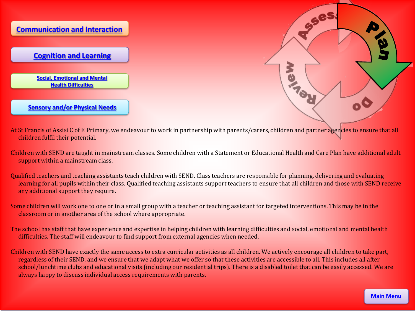<span id="page-4-0"></span>



- At St Francis of Assisi C of E Primary, we endeavour to work in partnership with parents/carers, children and partner agencies to ensure that all children fulfil their potential.
- Children with SEND are taught in mainstream classes. Some children with a Statement or Educational Health and Care Plan have additional adult support within a mainstream class.
- Qualified teachers and teaching assistants teach children with SEND. Class teachers are responsible for planning, delivering and evaluating learning for all pupils within their class. Qualified teaching assistants support teachers to ensure that all children and those with SEND receive any additional support they require.
- Some children will work one to one or in a small group with a teacher or teaching assistant for targeted interventions. This may be in the classroom or in another area of the school where appropriate.
- The school has staff that have experience and expertise in helping children with learning difficulties and social, emotional and mental health difficulties. The staff will endeavour to find support from external agencies when needed.
- Children with SEND have exactly the same access to extra curricular activities as all children. We actively encourage all children to take part, regardless of their SEND, and we ensure that we adapt what we offer so that these activities are accessible to all. This includes all after school/lunchtime clubs and educational visits (including our residential trips). There is a disabled toilet that can be easily accessed. We are always happy to discuss individual access requirements with parents.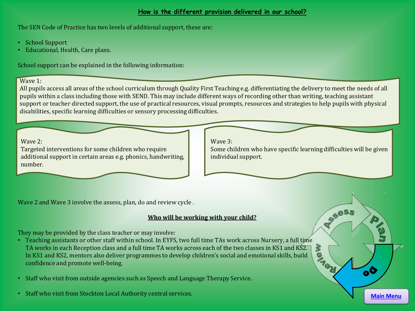#### **How is the different provision delivered in our school?**

<span id="page-5-0"></span>The SEN Code of Practice has two levels of additional support, these are:

- School Support
- Educational, Health, Care plans.

School support can be explained in the following information:

#### Wave 1:

All pupils access all areas of the school curriculum through Quality First Teaching e.g. differentiating the delivery to meet the needs of all pupils within a class including those with SEND. This may include different ways of recording other than writing, teaching assistant support or teacher directed support, the use of practical resources, visual prompts, resources and strategies to help pupils with physical disabilities, specific learning difficulties or sensory processing difficulties.

Wave 2:

Targeted interventions for some children who require additional support in certain areas e.g. phonics, handwriting, number.

Wave 3:

Some children who have specific learning difficulties will be given individual support.

Wave 2 and Wave 3 involve the assess, plan, do and review cycle .

#### **Who will be working with your child?**

They may be provided by the class teacher or may involve:

- Teaching assistants or other staff within school. In EYFS, two full time TAs work across Nursery, a full time<br>TA works in each Reception class and a full time TA works across each of the two classes in KS1 and KS2.<br>In KS TA works in each Reception class and a full time TA works across each of the two classes in KS1 and KS2. In KS1 and KS2, mentors also deliver programmes to develop children's social and emotional skills, build confidence and promote well-being.
- Staff who visit from outside agencies such as Speech and Language Therapy Service.
- Staff who visit from Stockton Local Authority central services.

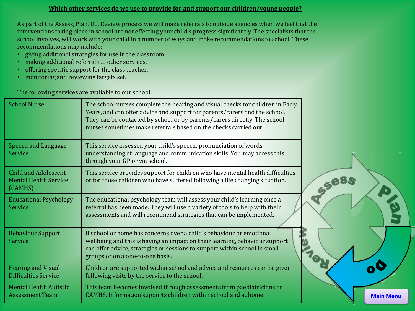#### **Which other services do we use to provide for and support our children/young people?**

As part of the Assess, Plan, Do, Review process we will make referrals to outside agencies when we feel that the interventions taking place in school are not effecting your child's progress significantly. The specialists that the school involves, will work with your child in a number of ways and make recommendations to school. These recommendations may include:

- giving additional strategies for use in the classroom,
- making additional referrals to other services,
- offering specific support for the class teacher,
- monitoring and reviewing targets set.

The following services are available to our school:

| <b>School Nurse</b>                                                    | The school nurses complete the hearing and visual checks for children in Early<br>Years, and can offer advice and support for parents/carers and the school.<br>They can be contacted by school or by parents/carers directly. The school<br>nurses sometimes make referrals based on the checks carried out. |                  |
|------------------------------------------------------------------------|---------------------------------------------------------------------------------------------------------------------------------------------------------------------------------------------------------------------------------------------------------------------------------------------------------------|------------------|
| <b>Speech and Language</b><br>Service                                  | This service assessed your child's speech, pronunciation of words,<br>understanding of language and communication skills. You may access this<br>through your GP or via school.                                                                                                                               |                  |
| <b>Child and Adolescent</b><br><b>Mental Health Service</b><br>(CAMHS) | This service provides support for children who have mental health difficulties<br>or for those children who have suffered following a life changing situation.                                                                                                                                                |                  |
| <b>Educational Psychology</b><br>Service                               | The educational psychology team will assess your child's learning once a<br>referral has been made. They will use a variety of tools to help with their<br>assessments and will recommend strategies that can be implemented.                                                                                 |                  |
| <b>Behaviour Support</b><br>Service                                    | If school or home has concerns over a child's behaviour or emotional<br>wellbeing and this is having an impact on their learning, behaviour support<br>can offer advice, strategies or sessions to support within school in small<br>groups or on a one-to-one basis.                                         |                  |
| <b>Hearing and Visual</b><br><b>Difficulties Service</b>               | Children are supported within school and advice and resources can be given<br>following visits by the service to the school.                                                                                                                                                                                  |                  |
| <b>Mental Health Autistic</b><br><b>Assessment Team</b>                | This team becomes involved through assessments from paediatricians or<br>CAMHS. Information supports children within school and at home.                                                                                                                                                                      | <b>Main Menu</b> |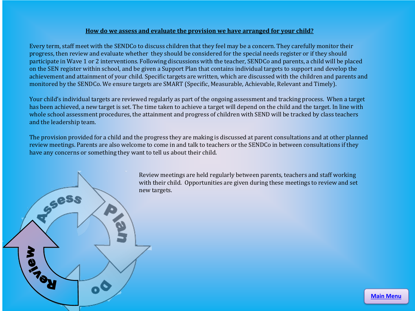#### **How do we assess and evaluate the provision we have arranged for your child?**

<span id="page-7-0"></span>Every term, staff meet with the SENDCo to discuss children that they feel may be a concern. They carefully monitor their progress, then review and evaluate whether they should be considered for the special needs register or if they should participate in Wave 1 or 2 interventions. Following discussions with the teacher, SENDCo and parents, a child will be placed on the SEN register within school, and be given a Support Plan that contains individual targets to support and develop the achievement and attainment of your child. Specific targets are written, which are discussed with the children and parents and monitored by the SENDCo. We ensure targets are SMART (Specific, Measurable, Achievable, Relevant and Timely).

Your child's individual targets are reviewed regularly as part of the ongoing assessment and tracking process. When a target has been achieved, a new target is set. The time taken to achieve a target will depend on the child and the target. In line with whole school assessment procedures, the attainment and progress of children with SEND will be tracked by class teachers and the leadership team.

The provision provided for a child and the progress they are making is discussed at parent consultations and at other planned review meetings. Parents are also welcome to come in and talk to teachers or the SENDCo in between consultations if they have any concerns or something they want to tell us about their child.



**[Main Menu](#page-3-0)**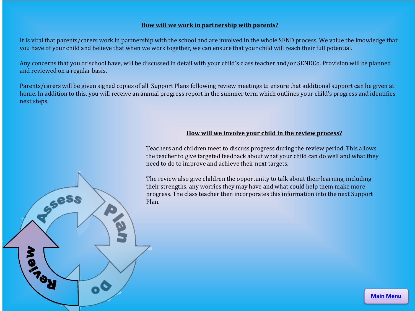#### **How will we work in partnership with parents?**

It is vital that parents/carers work in partnership with the school and are involved in the whole SEND process. We value the knowledge that you have of your child and believe that when we work together, we can ensure that your child will reach their full potential.

Any concerns that you or school have, will be discussed in detail with your child's class teacher and/or SENDCo. Provision will be planned and reviewed on a regular basis.

Parents/carers will be given signed copies of all Support Plans following review meetings to ensure that additional support can be given at home. In addition to this, you will receive an annual progress report in the summer term which outlines your child's progress and identifies next steps.

**Sess** 

#### **How will we involve your child in the review process?**

Teachers and children meet to discuss progress during the review period. This allows the teacher to give targeted feedback about what your child can do well and what they need to do to improve and achieve their next targets.

The review also give children the opportunity to talk about their learning, including their strengths, any worries they may have and what could help them make more progress. The class teacher then incorporates this information into the next Support Plan.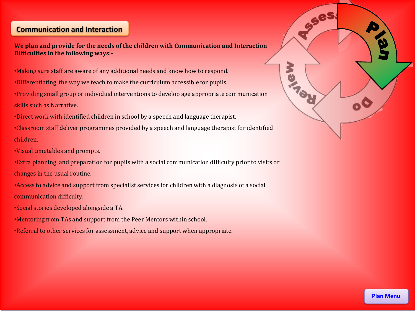### <span id="page-9-0"></span>**[Communication and Interaction](#page-3-0)**

**We plan and provide for the needs of the children with Communication and Interaction Difficulties in the following ways:-**

- •Making sure staff are aware of any additional needs and know how to respond.
- •Differentiating the way we teach to make the curriculum accessible for pupils.
- •Providing small group or individual interventions to develop age appropriate communication
- skills such as Narrative.
- •Direct work with identified children in school by a speech and language therapist.
- •Classroom staff deliver programmes provided by a speech and language therapist for identified children.
- •Visual timetables and prompts.
- •Extra planning and preparation for pupils with a social communication difficulty prior to visits or changes in the usual routine.
- •Access to advice and support from specialist services for children with a diagnosis of a social communication difficulty.
- •Social stories developed alongside a TA.
- •Mentoring from TAs and support from the Peer Mentors within school.
- •Referral to other services for assessment, advice and support when appropriate.

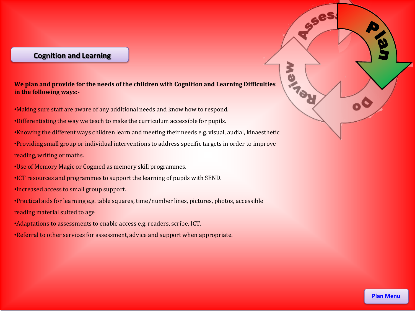#### <span id="page-10-0"></span>**[Cognition and Learning](#page-3-0)**

**We plan and provide for the needs of the children with Cognition and Learning Difficulties in the following ways:-**

•Making sure staff are aware of any additional needs and know how to respond.

•Differentiating the way we teach to make the curriculum accessible for pupils.

•Knowing the different ways children learn and meeting their needs e.g. visual, audial, kinaesthetic

•Providing small group or individual interventions to address specific targets in order to improve reading, writing or maths.

- •Use of Memory Magic or Cogmed as memory skill programmes.
- •ICT resources and programmes to support the learning of pupils with SEND.

•Increased access to small group support.

•Practical aids for learning e.g. table squares, time/number lines, pictures, photos, accessible reading material suited to age

- •Adaptations to assessments to enable access e.g. readers, scribe, ICT.
- •Referral to other services for assessment, advice and support when appropriate.

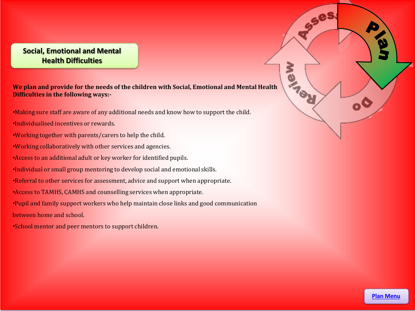#### <span id="page-11-0"></span>**[Social, Emotional and Mental](#page-3-0)  Health Difficulties**

**We plan and provide for the needs of the children with Social, Emotional and Mental Health Difficulties in the following ways:-**

- •Making sure staff are aware of any additional needs and know how to support the child.
- •Individualised incentives or rewards.
- •Working together with parents/carers to help the child.
- •Working collaboratively with other services and agencies.
- •Access to an additional adult or key worker for identified pupils.
- •Individual or small group mentoring to develop social and emotional skills.
- •Referral to other services for assessment, advice and support when appropriate.
- •Access to TAMHS, CAMHS and counselling services when appropriate.
- •Pupil and family support workers who help maintain close links and good communication
- between home and school.
- •School mentor and peer mentors to support children.

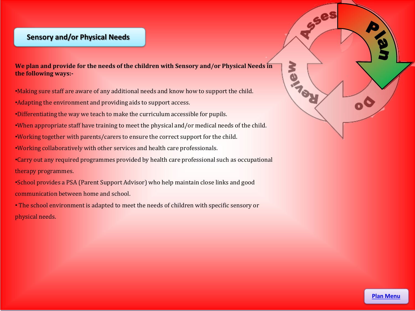#### <span id="page-12-0"></span>**[Sensory and/or Physical Needs](#page-3-0)**

**We plan and provide for the needs of the children with Sensory and/or Physical Needs in the following ways:-**

- •Making sure staff are aware of any additional needs and know how to support the child.
- •Adapting the environment and providing aids to support access.
- •Differentiating the way we teach to make the curriculum accessible for pupils.
- •When appropriate staff have training to meet the physical and/or medical needs of the child.
- •Working together with parents/carers to ensure the correct support for the child.
- •Working collaboratively with other services and health care professionals.
- •Carry out any required programmes provided by health care professional such as occupational therapy programmes.
- •School provides a PSA (Parent Support Advisor) who help maintain close links and good communication between home and school.
- The school environment is adapted to meet the needs of children with specific sensory or physical needs.